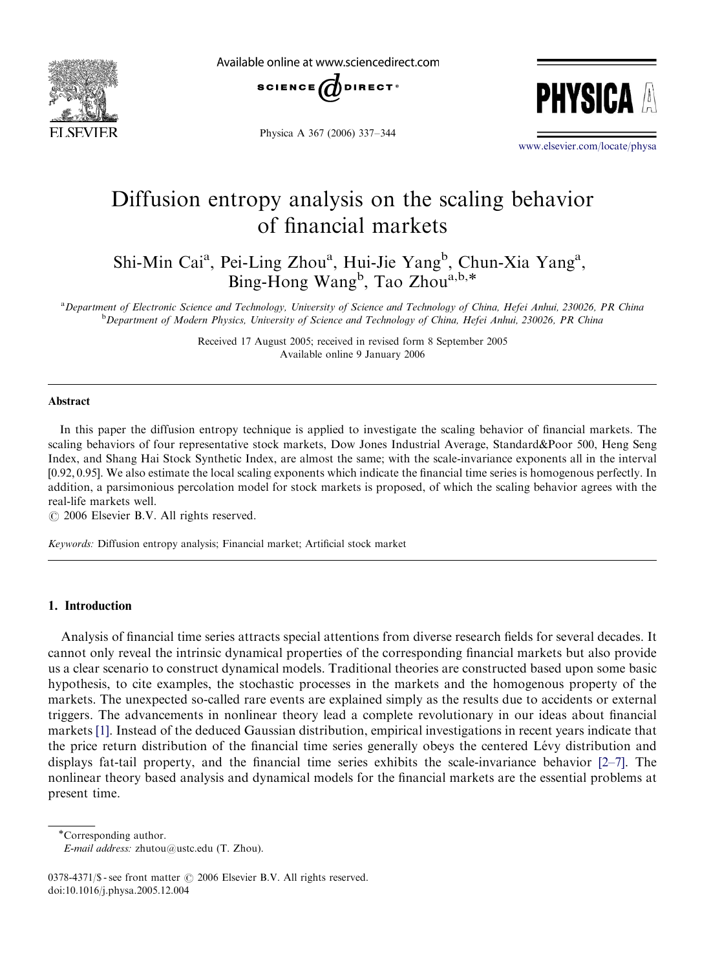

Available online at www.sciencedirect.com





Physica A 367 (2006) 337–344

<www.elsevier.com/locate/physa>

# Diffusion entropy analysis on the scaling behavior of financial markets

Shi-Min Cai<sup>a</sup>, Pei-Ling Zhou<sup>a</sup>, Hui-Jie Yang<sup>b</sup>, Chun-Xia Yang<sup>a</sup>,  $\text{Bing-Hong Wang}^b$ , Tao Zhou<sup>a,b,\*</sup>

a Department of Electronic Science and Technology, University of Science and Technology of China, Hefei Anhui, 230026, PR China <sup>b</sup> Department of Modern Physics, University of Science and Technology of China, Hefei Anhui, 230026, PR China

> Received 17 August 2005; received in revised form 8 September 2005 Available online 9 January 2006

### Abstract

In this paper the diffusion entropy technique is applied to investigate the scaling behavior of financial markets. The scaling behaviors of four representative stock markets, Dow Jones Industrial Average, Standard&Poor 500, Heng Seng Index, and Shang Hai Stock Synthetic Index, are almost the same; with the scale-invariance exponents all in the interval ½0:92; 0:95. We also estimate the local scaling exponents which indicate the financial time series is homogenous perfectly. In addition, a parsimonious percolation model for stock markets is proposed, of which the scaling behavior agrees with the real-life markets well.

 $O$  2006 Elsevier B.V. All rights reserved.

Keywords: Diffusion entropy analysis; Financial market; Artificial stock market

### 1. Introduction

Analysis of financial time series attracts special attentions from diverse research fields for several decades. It cannot only reveal the intrinsic dynamical properties of the corresponding financial markets but also provide us a clear scenario to construct dynamical models. Traditional theories are constructed based upon some basic hypothesis, to cite examples, the stochastic processes in the markets and the homogenous property of the markets. The unexpected so-called rare events are explained simply as the results due to accidents or external triggers. The advancements in nonlinear theory lead a complete revolutionary in our ideas about financial markets [\[1\].](#page--1-0) Instead of the deduced Gaussian distribution, empirical investigations in recent years indicate that the price return distribution of the financial time series generally obeys the centered Le´vy distribution and displays fat-tail property, and the financial time series exhibits the scale-invariance behavior  $[2-7]$ . The nonlinear theory based analysis and dynamical models for the financial markets are the essential problems at present time.

Corresponding author.

E-mail address: zhutou@ustc.edu (T. Zhou).

0378-4371/\$ - see front matter  $\odot$  2006 Elsevier B.V. All rights reserved. doi:10.1016/j.physa.2005.12.004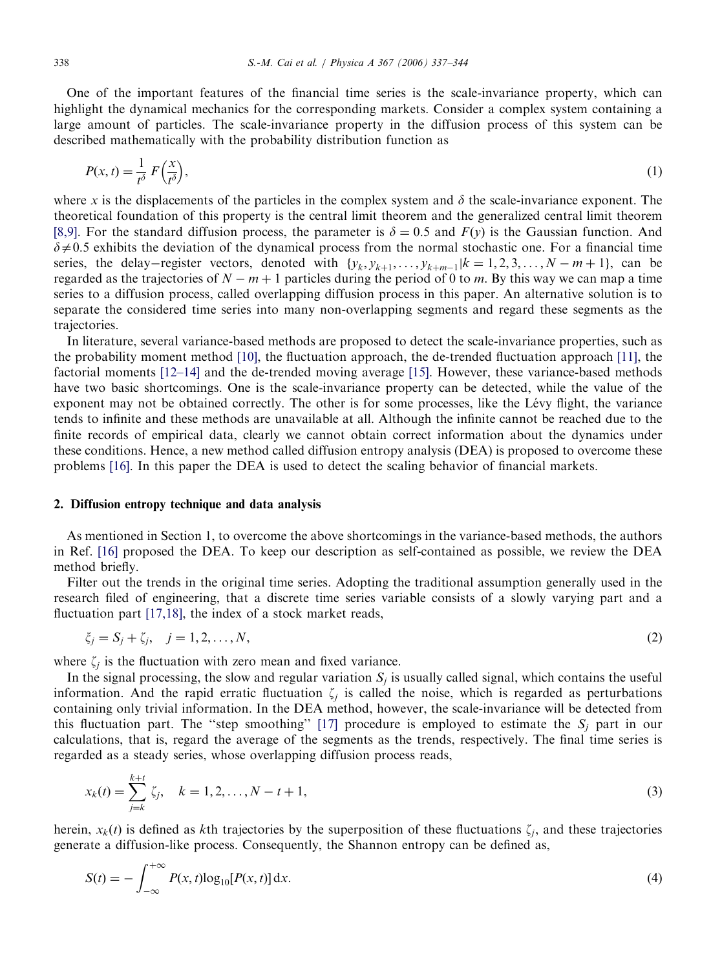One of the important features of the financial time series is the scale-invariance property, which can highlight the dynamical mechanics for the corresponding markets. Consider a complex system containing a large amount of particles. The scale-invariance property in the diffusion process of this system can be described mathematically with the probability distribution function as

$$
P(x,t) = \frac{1}{t^{\delta}} F\left(\frac{x}{t^{\delta}}\right),\tag{1}
$$

where x is the displacements of the particles in the complex system and  $\delta$  the scale-invariance exponent. The theoretical foundation of this property is the central limit theorem and the generalized central limit theorem [\[8,9\]](#page--1-0). For the standard diffusion process, the parameter is  $\delta = 0.5$  and  $F(v)$  is the Gaussian function. And  $\delta \neq 0.5$  exhibits the deviation of the dynamical process from the normal stochastic one. For a financial time series, the delay–register vectors, denoted with  $\{y_k, y_{k+1}, \ldots, y_{k+m-1} | k = 1, 2, 3, \ldots, N-m+1 \}$ , can be regarded as the trajectories of  $N - m + 1$  particles during the period of 0 to m. By this way we can map a time series to a diffusion process, called overlapping diffusion process in this paper. An alternative solution is to separate the considered time series into many non-overlapping segments and regard these segments as the trajectories.

In literature, several variance-based methods are proposed to detect the scale-invariance properties, such as the probability moment method [\[10\]](#page--1-0), the fluctuation approach, the de-trended fluctuation approach [\[11\]](#page--1-0), the factorial moments [\[12–14\]](#page--1-0) and the de-trended moving average [\[15\].](#page--1-0) However, these variance-based methods have two basic shortcomings. One is the scale-invariance property can be detected, while the value of the exponent may not be obtained correctly. The other is for some processes, like the Lévy flight, the variance tends to infinite and these methods are unavailable at all. Although the infinite cannot be reached due to the finite records of empirical data, clearly we cannot obtain correct information about the dynamics under these conditions. Hence, a new method called diffusion entropy analysis (DEA) is proposed to overcome these problems [\[16\]](#page--1-0). In this paper the DEA is used to detect the scaling behavior of financial markets.

#### 2. Diffusion entropy technique and data analysis

As mentioned in Section 1, to overcome the above shortcomings in the variance-based methods, the authors in Ref. [\[16\]](#page--1-0) proposed the DEA. To keep our description as self-contained as possible, we review the DEA method briefly.

Filter out the trends in the original time series. Adopting the traditional assumption generally used in the research filed of engineering, that a discrete time series variable consists of a slowly varying part and a fluctuation part [\[17,18\],](#page--1-0) the index of a stock market reads,

$$
\xi_j = S_j + \zeta_j, \quad j = 1, 2, \dots, N,\tag{2}
$$

where  $\zeta_i$  is the fluctuation with zero mean and fixed variance.

In the signal processing, the slow and regular variation  $S_i$  is usually called signal, which contains the useful information. And the rapid erratic fluctuation  $\zeta_i$  is called the noise, which is regarded as perturbations containing only trivial information. In the DEA method, however, the scale-invariance will be detected from this fluctuation part. The "step smoothing" [\[17\]](#page--1-0) procedure is employed to estimate the  $S_i$  part in our calculations, that is, regard the average of the segments as the trends, respectively. The final time series is regarded as a steady series, whose overlapping diffusion process reads,

$$
x_k(t) = \sum_{j=k}^{k+t} \zeta_j, \quad k = 1, 2, \dots, N - t + 1,\tag{3}
$$

herein,  $x_k(t)$  is defined as kth trajectories by the superposition of these fluctuations  $\zeta_i$ , and these trajectories generate a diffusion-like process. Consequently, the Shannon entropy can be defined as,

$$
S(t) = -\int_{-\infty}^{+\infty} P(x, t) \log_{10}[P(x, t)] \, dx. \tag{4}
$$